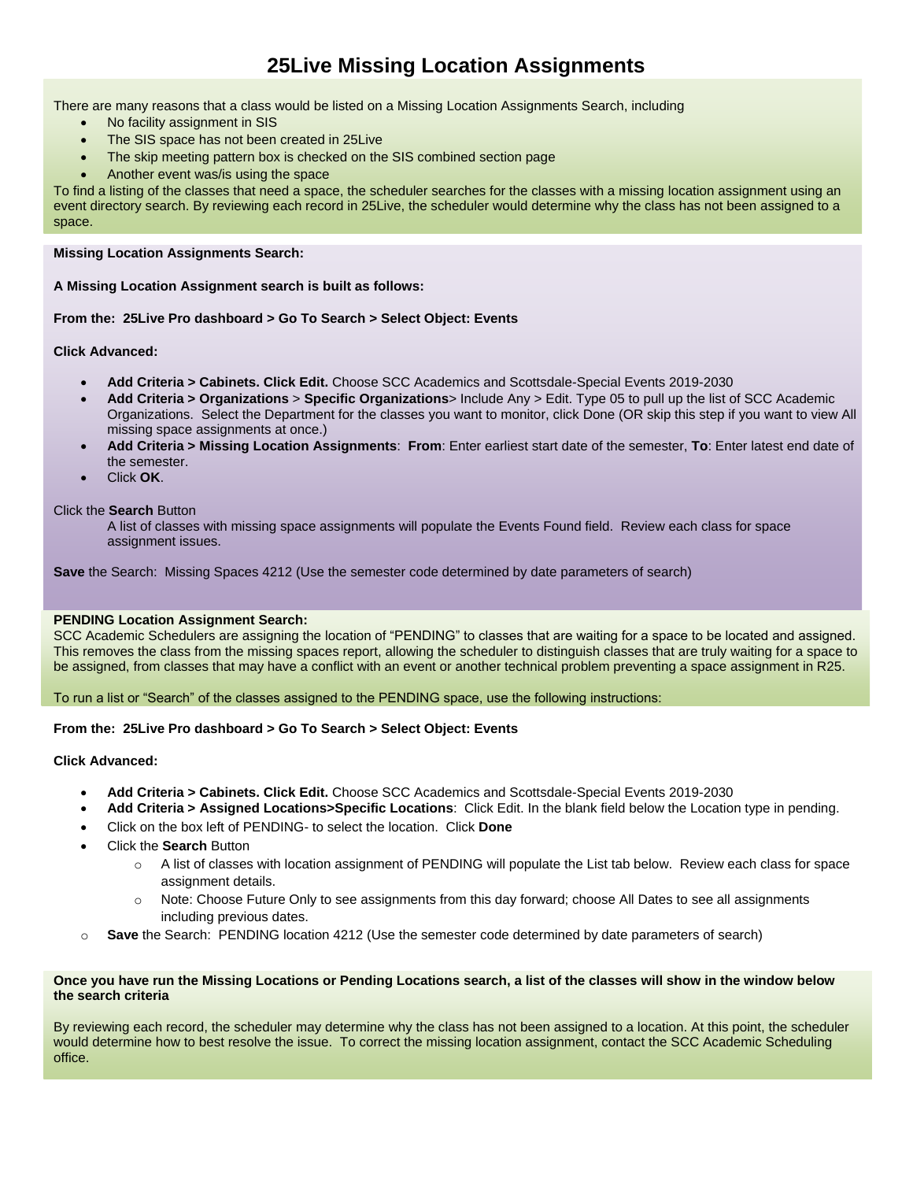# **25Live Missing Location Assignments**

There are many reasons that a class would be listed on a Missing Location Assignments Search, including

- No facility assignment in SIS
- The SIS space has not been created in 25Live
- The skip meeting pattern box is checked on the SIS combined section page
- Another event was/is using the space

To find a listing of the classes that need a space, the scheduler searches for the classes with a missing location assignment using an event directory search. By reviewing each record in 25Live, the scheduler would determine why the class has not been assigned to a space.

### **Missing Location Assignments Search:**

**A Missing Location Assignment search is built as follows:**

### **From the: 25Live Pro dashboard > Go To Search > Select Object: Events**

**Click Advanced:**

- **Add Criteria > Cabinets. Click Edit.** Choose SCC Academics and Scottsdale-Special Events 2019-2030
- **Add Criteria > Organizations** > **Specific Organizations**> Include Any > Edit. Type 05 to pull up the list of SCC Academic Organizations. Select the Department for the classes you want to monitor, click Done (OR skip this step if you want to view All missing space assignments at once.)
- **Add Criteria > Missing Location Assignments**: **From**: Enter earliest start date of the semester, **To**: Enter latest end date of the semester.
- Click **OK**.

### Click the **Search** Button

A list of classes with missing space assignments will populate the Events Found field. Review each class for space assignment issues.

**Save** the Search: Missing Spaces 4212 (Use the semester code determined by date parameters of search)

### **PENDING Location Assignment Search:**

SCC Academic Schedulers are assigning the location of "PENDING" to classes that are waiting for a space to be located and assigned. This removes the class from the missing spaces report, allowing the scheduler to distinguish classes that are truly waiting for a space to be assigned, from classes that may have a conflict with an event or another technical problem preventing a space assignment in R25.

To run a list or "Search" of the classes assigned to the PENDING space, use the following instructions:

### **From the: 25Live Pro dashboard > Go To Search > Select Object: Events**

## **Click Advanced:**

- **Add Criteria > Cabinets. Click Edit.** Choose SCC Academics and Scottsdale-Special Events 2019-2030
- **Add Criteria > Assigned Locations>Specific Locations**: Click Edit. In the blank field below the Location type in pending.
- Click on the box left of PENDING- to select the location. Click **Done**
- Click the **Search** Button
	- $\circ$  A list of classes with location assignment of PENDING will populate the List tab below. Review each class for space assignment details.
	- o Note: Choose Future Only to see assignments from this day forward; choose All Dates to see all assignments including previous dates.
- o **Save** the Search: PENDING location 4212 (Use the semester code determined by date parameters of search)

### **Once you have run the Missing Locations or Pending Locations search, a list of the classes will show in the window below the search criteria**

By reviewing each record, the scheduler may determine why the class has not been assigned to a location. At this point, the scheduler would determine how to best resolve the issue. To correct the missing location assignment, contact the SCC Academic Scheduling office.